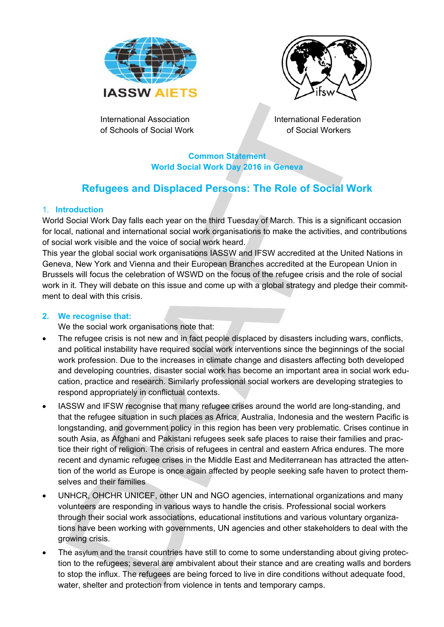



International Association of Schools of Social Work International Federation of Social Workers

**Common Statement World Social Work Day 2016 in Geneva** 

# **Refugees and Displaced Persons: The Role of Social Work**

#### 1. **Introduction**

World Social Work Day falls each year on the third Tuesday of March. This is a significant occasion for local, national and international social work organisations to make the activities, and contributions of social work visible and the voice of social work heard.

This year the global social work organisations IASSW and IFSW accredited at the United Nations in Geneva, New York and Vienna and their European Branches accredited at the European Union in Brussels will focus the celebration of WSWD on the focus of the refugee crisis and the role of social work in it. They will debate on this issue and come up with a global strategy and pledge their commitment to deal with this crisis.

#### **2. We recognise that:**

We the social work organisations note that:

- The refugee crisis is not new and in fact people displaced by disasters including wars, conflicts, and political instability have required social work interventions since the beginnings of the social work profession. Due to the increases in climate change and disasters affecting both developed and developing countries, disaster social work has become an important area in social work education, practice and research. Similarly professional social workers are developing strategies to respond appropriately in conflictual contexts.
- IASSW and IFSW recognise that many refugee crises around the world are long-standing, and that the refugee situation in such places as Africa, Australia, Indonesia and the western Pacific is longstanding, and government policy in this region has been very problematic. Crises continue in south Asia, as Afghani and Pakistani refugees seek safe places to raise their families and practice their right of religion. The crisis of refugees in central and eastern Africa endures. The more recent and dynamic refugee crises in the Middle East and Mediterranean has attracted the attention of the world as Europe is once again affected by people seeking safe haven to protect themselves and their families
- UNHCR, OHCHR UNICEF, other UN and NGO agencies, international organizations and many volunteers are responding in various ways to handle the crisis. Professional social workers through their social work associations, educational institutions and various voluntary organizations have been working with governments, UN agencies and other stakeholders to deal with the growing crisis.
- The asylum and the transit countries have still to come to some understanding about giving protection to the refugees; several are ambivalent about their stance and are creating walls and borders to stop the influx. The refugees are being forced to live in dire conditions without adequate food, water, shelter and protection from violence in tents and temporary camps.